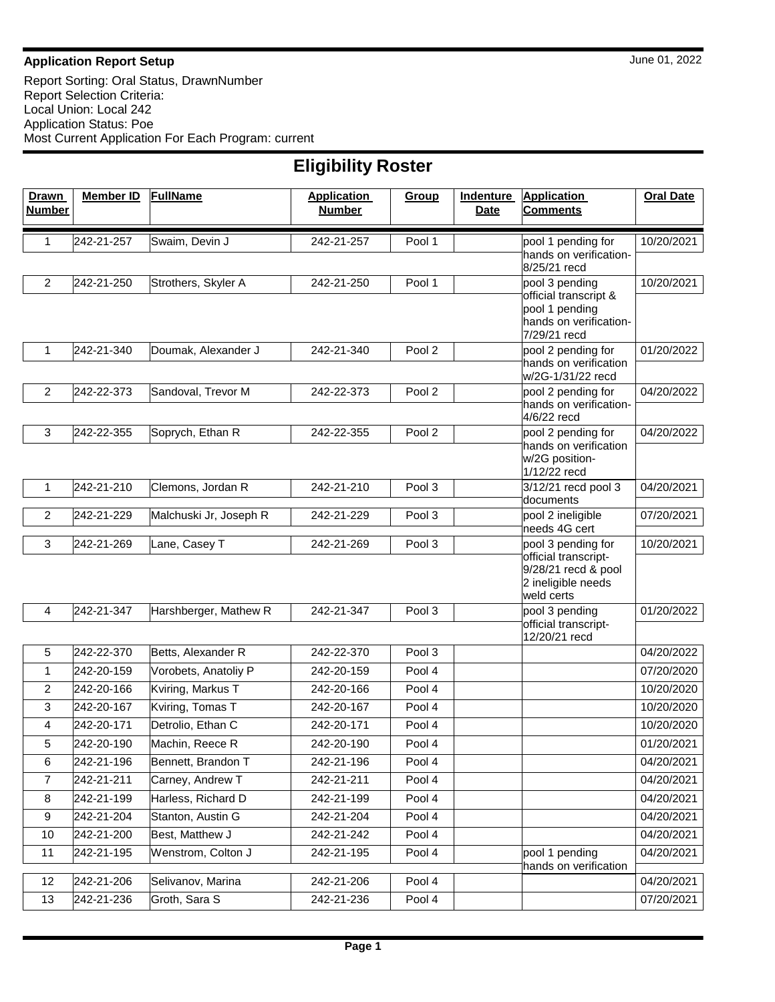## **Application Report Setup** June 01, 2022

| <b>Drawn</b><br><b>Number</b> | <b>Member ID</b> | <b>FullName</b>        | <b>Application</b><br><b>Number</b> | Group             | Indenture<br><b>Date</b> | <b>Application</b><br><b>Comments</b>                                           | <b>Oral Date</b> |  |  |  |
|-------------------------------|------------------|------------------------|-------------------------------------|-------------------|--------------------------|---------------------------------------------------------------------------------|------------------|--|--|--|
| 1                             | 242-21-257       | Swaim, Devin J         | 242-21-257                          | Pool 1            |                          | pool 1 pending for                                                              | 10/20/2021       |  |  |  |
|                               |                  |                        |                                     |                   |                          | hands on verification-<br>8/25/21 recd                                          |                  |  |  |  |
| $\overline{c}$                | 242-21-250       | Strothers, Skyler A    | 242-21-250                          | Pool 1            |                          | pool 3 pending<br>official transcript &                                         | 10/20/2021       |  |  |  |
|                               |                  |                        |                                     |                   |                          | pool 1 pending<br>hands on verification-<br>7/29/21 recd                        |                  |  |  |  |
| $\mathbf{1}$                  | 242-21-340       | Doumak, Alexander J    | 242-21-340                          | Pool <sub>2</sub> |                          | pool 2 pending for                                                              | 01/20/2022       |  |  |  |
|                               |                  |                        |                                     |                   |                          | hands on verification<br>w/2G-1/31/22 recd                                      |                  |  |  |  |
| $\overline{c}$                | 242-22-373       | Sandoval, Trevor M     | 242-22-373                          | Pool 2            |                          | pool 2 pending for                                                              | 04/20/2022       |  |  |  |
|                               |                  |                        |                                     |                   |                          | hands on verification-<br>4/6/22 recd                                           |                  |  |  |  |
| $\mathbf{3}$                  | 242-22-355       | Soprych, Ethan R       | 242-22-355                          | Pool 2            |                          | pool 2 pending for                                                              | 04/20/2022       |  |  |  |
|                               |                  |                        |                                     |                   |                          | hands on verification<br>w/2G position-<br>1/12/22 recd                         |                  |  |  |  |
| $\mathbf{1}$                  | 242-21-210       | Clemons, Jordan R      | 242-21-210                          | Pool 3            |                          | 3/12/21 recd pool 3<br>documents                                                | 04/20/2021       |  |  |  |
| 2                             | 242-21-229       | Malchuski Jr, Joseph R | 242-21-229                          | Pool 3            |                          | pool 2 ineligible<br>needs 4G cert                                              | 07/20/2021       |  |  |  |
| 3                             | 242-21-269       | Lane, Casey T          | 242-21-269                          | Pool 3            |                          | pool 3 pending for                                                              | 10/20/2021       |  |  |  |
|                               |                  |                        |                                     |                   |                          | official transcript-<br>9/28/21 recd & pool<br>2 ineligible needs<br>weld certs |                  |  |  |  |
| 4                             | 242-21-347       | Harshberger, Mathew R  | 242-21-347                          | Pool 3            |                          | pool 3 pending                                                                  | 01/20/2022       |  |  |  |
|                               |                  |                        |                                     |                   |                          | official transcript-<br>12/20/21 recd                                           |                  |  |  |  |
| 5                             | 242-22-370       | Betts, Alexander R     | 242-22-370                          | Pool 3            |                          |                                                                                 | 04/20/2022       |  |  |  |
| $\mathbf{1}$                  | 242-20-159       | Vorobets, Anatoliy P   | 242-20-159                          | Pool 4            |                          |                                                                                 | 07/20/2020       |  |  |  |
| 2                             | 242-20-166       | Kviring, Markus T      | 242-20-166                          | Pool 4            |                          |                                                                                 | 10/20/2020       |  |  |  |
| 3                             | 242-20-167       | Kviring, Tomas T       | 242-20-167                          | Pool 4            |                          |                                                                                 | 10/20/2020       |  |  |  |
| 4                             | 242-20-171       | Detrolio, Ethan C      | 242-20-171                          | Pool 4            |                          |                                                                                 | 10/20/2020       |  |  |  |
| 5                             | 242-20-190       | Machin, Reece R        | 242-20-190                          | Pool 4            |                          |                                                                                 | 01/20/2021       |  |  |  |
| 6                             | 242-21-196       | Bennett, Brandon T     | 242-21-196                          | Pool 4            |                          |                                                                                 | 04/20/2021       |  |  |  |
| 7                             | 242-21-211       | Carney, Andrew T       | 242-21-211                          | Pool 4            |                          |                                                                                 | 04/20/2021       |  |  |  |
| 8                             | 242-21-199       | Harless, Richard D     | 242-21-199                          | Pool 4            |                          |                                                                                 | 04/20/2021       |  |  |  |
| 9                             | 242-21-204       | Stanton, Austin G      | 242-21-204                          | Pool 4            |                          |                                                                                 | 04/20/2021       |  |  |  |
| 10                            | 242-21-200       | Best, Matthew J        | 242-21-242                          | Pool 4            |                          |                                                                                 | 04/20/2021       |  |  |  |
| 11                            | 242-21-195       | Wenstrom, Colton J     | 242-21-195                          | Pool 4            |                          | pool 1 pending<br>hands on verification                                         | 04/20/2021       |  |  |  |
| 12                            | 242-21-206       | Selivanov, Marina      | 242-21-206                          | Pool 4            |                          |                                                                                 | 04/20/2021       |  |  |  |
| 13                            | 242-21-236       | Groth, Sara S          | 242-21-236                          | Pool 4            |                          |                                                                                 | 07/20/2021       |  |  |  |

## **Eligibility Roster**